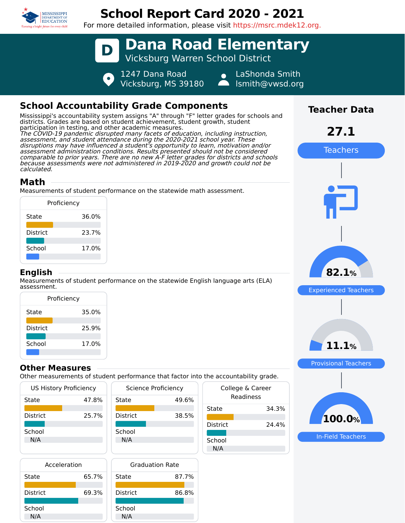

# **School Report Card 2020 - 2021**

For more detailed information, please visit https://msrc.mdek12.org.



## **School Accountability Grade Components**

Mississippi's accountability system assigns "A" through "F" letter grades for schools and districts. Grades are based on student achievement, student growth, student participation in testing, and other academic measures. The COVID-19 pandemic disrupted many facets of education, including instruction, assessment, and student attendance during the 2020-2021 school year. These disruptions may have influenced a student's opportunity to learn, motivation and/or assessment administration conditions. Results presented should not be considered comparable to prior years. There are no new A-F letter grades for districts and schools because assessments were not administered in 2019-2020 and growth could not be calculated.

## **Math**

Measurements of student performance on the statewide math assessment.

| Proficiency     |       |
|-----------------|-------|
| State           | 36.0% |
| <b>District</b> | 23.7% |
| School          | 17.0% |
|                 |       |

#### **English**

Measurements of student performance on the statewide English language arts (ELA) assessment.

| Proficiency     |       |  |  |  |  |  |
|-----------------|-------|--|--|--|--|--|
| State           | 35.0% |  |  |  |  |  |
| <b>District</b> | 25.9% |  |  |  |  |  |
| School          | 17.0% |  |  |  |  |  |

### **Other Measures**

Other measurements of student performance that factor into the accountability grade.

| <b>US History Proficiency</b> |       | Science Proficiency | Colle |                 |
|-------------------------------|-------|---------------------|-------|-----------------|
| State                         | 47.8% | State               | 49.6% |                 |
|                               |       |                     |       | State           |
| <b>District</b>               | 25.7% | <b>District</b>     | 38.5% |                 |
|                               |       |                     |       | <b>District</b> |
| School                        |       | School              |       |                 |
| N/A                           |       | N/A                 |       | School          |
|                               |       |                     |       | N/A             |
|                               |       |                     |       |                 |

| Acceleration    |       |   |
|-----------------|-------|---|
| State           | 65.7% | S |
| <b>District</b> | 69.3% |   |
| School          |       | S |
| N/A             |       |   |



|                               | the accountability grade. |  |  |  |  |
|-------------------------------|---------------------------|--|--|--|--|
| College & Career<br>Readiness |                           |  |  |  |  |
| State                         | 34.3%                     |  |  |  |  |
| District                      | 24.4%                     |  |  |  |  |
| School<br>N/A                 |                           |  |  |  |  |
|                               |                           |  |  |  |  |



**Teacher Data**

In-Field Teachers